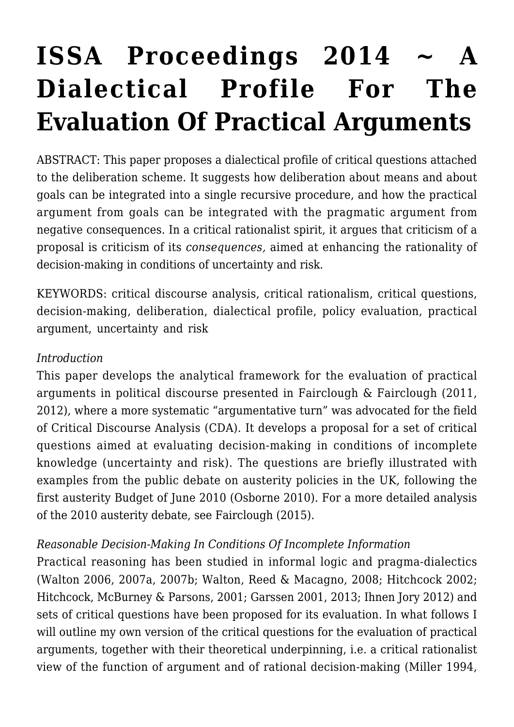# **[ISSA Proceedings 2014 ~ A](https://rozenbergquarterly.com/issa-proceedings-2014-a-dialectical-profile-for-the-evaluation-of-practical-arguments/) [Dialectical Profile For The](https://rozenbergquarterly.com/issa-proceedings-2014-a-dialectical-profile-for-the-evaluation-of-practical-arguments/) [Evaluation Of Practical Arguments](https://rozenbergquarterly.com/issa-proceedings-2014-a-dialectical-profile-for-the-evaluation-of-practical-arguments/)**

ABSTRACT: This paper proposes a dialectical profile of critical questions attached to the deliberation scheme. It suggests how deliberation about means and about goals can be integrated into a single recursive procedure, and how the practical argument from goals can be integrated with the pragmatic argument from negative consequences. In a critical rationalist spirit, it argues that criticism of a proposal is criticism of its *consequences,* aimed at enhancing the rationality of decision-making in conditions of uncertainty and risk.

KEYWORDS: critical discourse analysis, critical rationalism, critical questions, decision-making, deliberation, dialectical profile, policy evaluation, practical argument, uncertainty and risk

#### *Introduction*

This paper develops the analytical framework for the evaluation of practical arguments in political discourse presented in Fairclough & Fairclough (2011, 2012), where a more systematic "argumentative turn" was advocated for the field of Critical Discourse Analysis (CDA). It develops a proposal for a set of critical questions aimed at evaluating decision-making in conditions of incomplete knowledge (uncertainty and risk). The questions are briefly illustrated with examples from the public debate on austerity policies in the UK, following the first austerity Budget of June 2010 (Osborne 2010). For a more detailed analysis of the 2010 austerity debate, see Fairclough (2015).

#### *Reasonable Decision-Making In Conditions Of Incomplete Information*

Practical reasoning has been studied in informal logic and pragma-dialectics (Walton 2006, 2007a, 2007b; Walton, Reed & Macagno, 2008; Hitchcock 2002; Hitchcock, McBurney & Parsons, 2001; Garssen 2001, 2013; Ihnen Jory 2012) and sets of critical questions have been proposed for its evaluation. In what follows I will outline my own version of the critical questions for the evaluation of practical arguments, together with their theoretical underpinning, i.e. a critical rationalist view of the function of argument and of rational decision-making (Miller 1994,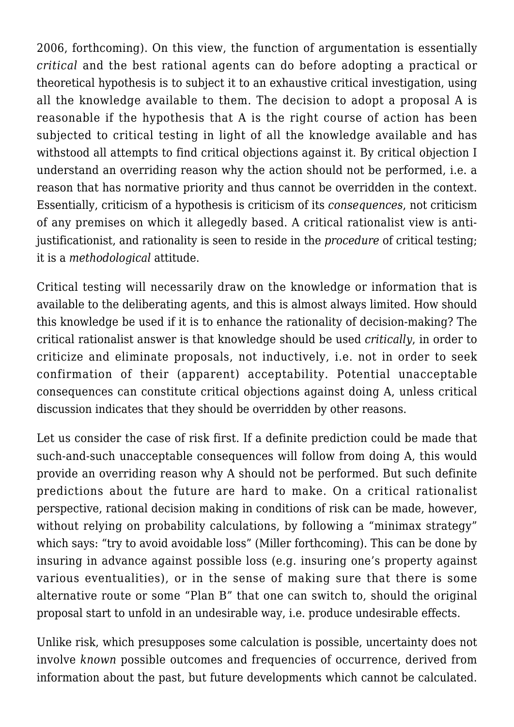2006, forthcoming). On this view, the function of argumentation is essentially *critical* and the best rational agents can do before adopting a practical or theoretical hypothesis is to subject it to an exhaustive critical investigation, using all the knowledge available to them. The decision to adopt a proposal A is reasonable if the hypothesis that A is the right course of action has been subjected to critical testing in light of all the knowledge available and has withstood all attempts to find critical objections against it. By critical objection I understand an overriding reason why the action should not be performed, i.e. a reason that has normative priority and thus cannot be overridden in the context. Essentially, criticism of a hypothesis is criticism of its *consequences*, not criticism of any premises on which it allegedly based. A critical rationalist view is antijustificationist, and rationality is seen to reside in the *procedure* of critical testing; it is a *methodological* attitude.

Critical testing will necessarily draw on the knowledge or information that is available to the deliberating agents, and this is almost always limited. How should this knowledge be used if it is to enhance the rationality of decision-making? The critical rationalist answer is that knowledge should be used *critically*, in order to criticize and eliminate proposals, not inductively, i.e. not in order to seek confirmation of their (apparent) acceptability. Potential unacceptable consequences can constitute critical objections against doing A, unless critical discussion indicates that they should be overridden by other reasons.

Let us consider the case of risk first. If a definite prediction could be made that such-and-such unacceptable consequences will follow from doing A, this would provide an overriding reason why A should not be performed. But such definite predictions about the future are hard to make. On a critical rationalist perspective, rational decision making in conditions of risk can be made, however, without relying on probability calculations, by following a "minimax strategy" which says: "try to avoid avoidable loss" (Miller forthcoming). This can be done by insuring in advance against possible loss (e.g. insuring one's property against various eventualities), or in the sense of making sure that there is some alternative route or some "Plan B" that one can switch to, should the original proposal start to unfold in an undesirable way, i.e. produce undesirable effects.

Unlike risk, which presupposes some calculation is possible, uncertainty does not involve *known* possible outcomes and frequencies of occurrence, derived from information about the past, but future developments which cannot be calculated.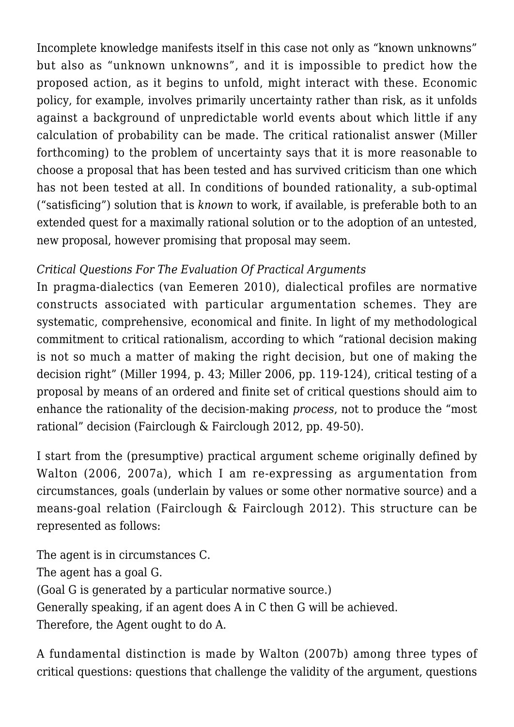Incomplete knowledge manifests itself in this case not only as "known unknowns" but also as "unknown unknowns", and it is impossible to predict how the proposed action, as it begins to unfold, might interact with these. Economic policy, for example, involves primarily uncertainty rather than risk, as it unfolds against a background of unpredictable world events about which little if any calculation of probability can be made. The critical rationalist answer (Miller forthcoming) to the problem of uncertainty says that it is more reasonable to choose a proposal that has been tested and has survived criticism than one which has not been tested at all. In conditions of bounded rationality, a sub-optimal ("satisficing") solution that is *known* to work, if available, is preferable both to an extended quest for a maximally rational solution or to the adoption of an untested, new proposal, however promising that proposal may seem.

## *Critical Questions For The Evaluation Of Practical Arguments*

In pragma-dialectics (van Eemeren 2010), dialectical profiles are normative constructs associated with particular argumentation schemes. They are systematic, comprehensive, economical and finite. In light of my methodological commitment to critical rationalism, according to which "rational decision making is not so much a matter of making the right decision, but one of making the decision right" (Miller 1994, p. 43; Miller 2006, pp. 119-124), critical testing of a proposal by means of an ordered and finite set of critical questions should aim to enhance the rationality of the decision-making *process*, not to produce the "most rational" decision (Fairclough & Fairclough 2012, pp. 49-50).

I start from the (presumptive) practical argument scheme originally defined by Walton (2006, 2007a), which I am re-expressing as argumentation from circumstances, goals (underlain by values or some other normative source) and a means-goal relation (Fairclough & Fairclough 2012). This structure can be represented as follows:

The agent is in circumstances C. The agent has a goal G. (Goal G is generated by a particular normative source.) Generally speaking, if an agent does A in C then G will be achieved. Therefore, the Agent ought to do A.

A fundamental distinction is made by Walton (2007b) among three types of critical questions: questions that challenge the validity of the argument, questions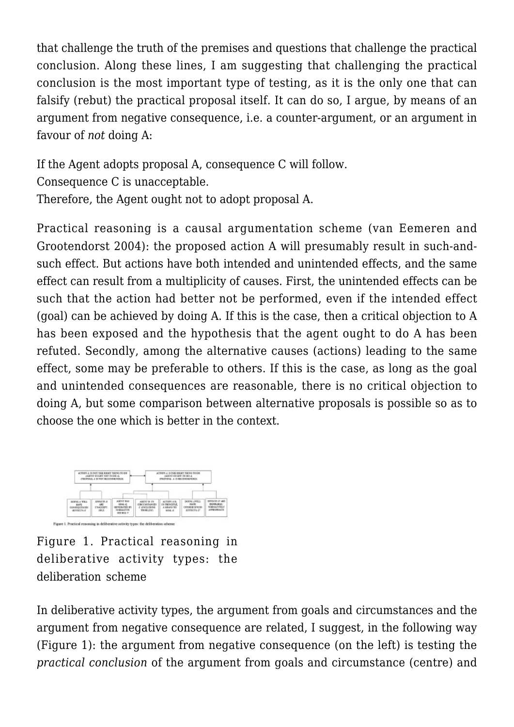that challenge the truth of the premises and questions that challenge the practical conclusion. Along these lines, I am suggesting that challenging the practical conclusion is the most important type of testing, as it is the only one that can falsify (rebut) the practical proposal itself. It can do so, I argue, by means of an argument from negative consequence, i.e. a counter-argument, or an argument in favour of *not* doing A:

If the Agent adopts proposal A, consequence C will follow. Consequence C is unacceptable. Therefore, the Agent ought not to adopt proposal A.

Practical reasoning is a causal argumentation scheme (van Eemeren and Grootendorst 2004): the proposed action A will presumably result in such-andsuch effect. But actions have both intended and unintended effects, and the same effect can result from a multiplicity of causes. First, the unintended effects can be such that the action had better not be performed, even if the intended effect (goal) can be achieved by doing A. If this is the case, then a critical objection to A has been exposed and the hypothesis that the agent ought to do A has been refuted. Secondly, among the alternative causes (actions) leading to the same effect, some may be preferable to others. If this is the case, as long as the goal and unintended consequences are reasonable, there is no critical objection to doing A, but some comparison between alternative proposals is possible so as to choose the one which is better in the context.



Figure 1. Practical reasoning in deliberative activity types: the deliberation scheme

In deliberative activity types, the argument from goals and circumstances and the argument from negative consequence are related, I suggest, in the following way (Figure 1): the argument from negative consequence (on the left) is testing the *practical conclusion* of the argument from goals and circumstance (centre) and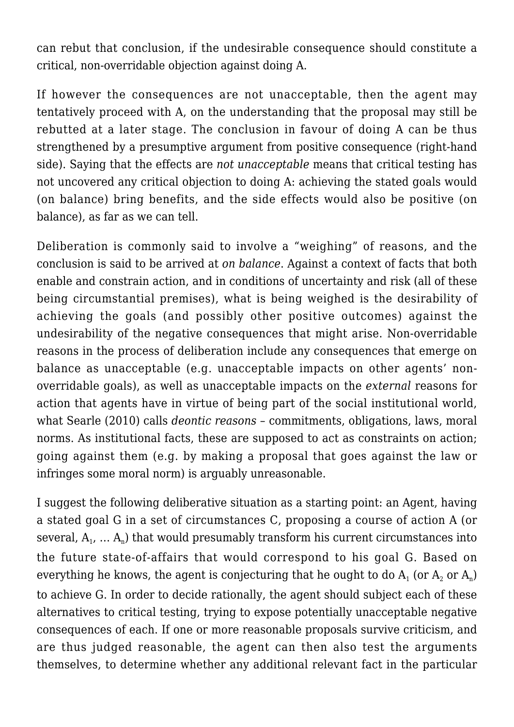can rebut that conclusion, if the undesirable consequence should constitute a critical, non-overridable objection against doing A.

If however the consequences are not unacceptable, then the agent may tentatively proceed with A, on the understanding that the proposal may still be rebutted at a later stage. The conclusion in favour of doing A can be thus strengthened by a presumptive argument from positive consequence (right-hand side). Saying that the effects are *not unacceptable* means that critical testing has not uncovered any critical objection to doing A: achieving the stated goals would (on balance) bring benefits, and the side effects would also be positive (on balance), as far as we can tell.

Deliberation is commonly said to involve a "weighing" of reasons, and the conclusion is said to be arrived at *on balance*. Against a context of facts that both enable and constrain action, and in conditions of uncertainty and risk (all of these being circumstantial premises), what is being weighed is the desirability of achieving the goals (and possibly other positive outcomes) against the undesirability of the negative consequences that might arise. Non-overridable reasons in the process of deliberation include any consequences that emerge on balance as unacceptable (e.g. unacceptable impacts on other agents' nonoverridable goals), as well as unacceptable impacts on the *external* reasons for action that agents have in virtue of being part of the social institutional world, what Searle (2010) calls *deontic reasons* – commitments, obligations, laws, moral norms. As institutional facts, these are supposed to act as constraints on action; going against them (e.g. by making a proposal that goes against the law or infringes some moral norm) is arguably unreasonable.

I suggest the following deliberative situation as a starting point: an Agent, having a stated goal G in a set of circumstances C, proposing a course of action A (or several,  $\rm A_{_1}$ ,  $\ldots$   $\rm A_{_n})$  that would presumably transform his current circumstances into the future state-of-affairs that would correspond to his goal G. Based on everything he knows, the agent is conjecturing that he ought to do  $\rm A_{1}$  (or  $\rm A_{2}$  or  $\rm A_{n}$ ) to achieve G. In order to decide rationally, the agent should subject each of these alternatives to critical testing, trying to expose potentially unacceptable negative consequences of each. If one or more reasonable proposals survive criticism, and are thus judged reasonable, the agent can then also test the arguments themselves, to determine whether any additional relevant fact in the particular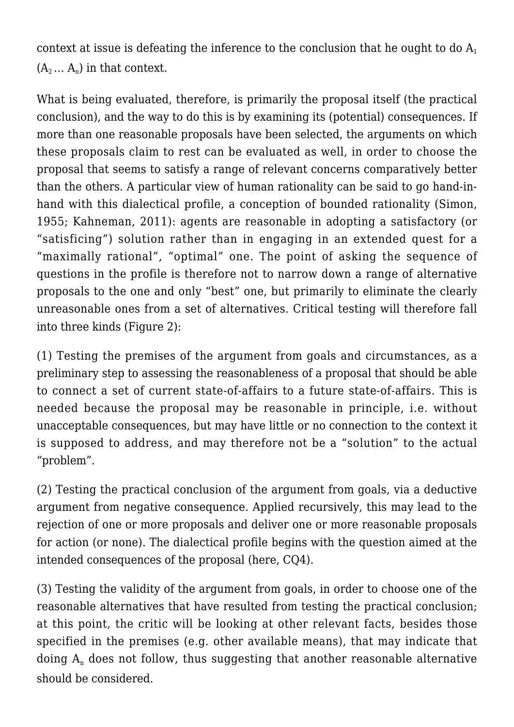context at issue is defeating the inference to the conclusion that he ought to do  $A_1$  $(A_2... A_n)$  in that context.

What is being evaluated, therefore, is primarily the proposal itself (the practical conclusion), and the way to do this is by examining its (potential) consequences. If more than one reasonable proposals have been selected, the arguments on which these proposals claim to rest can be evaluated as well, in order to choose the proposal that seems to satisfy a range of relevant concerns comparatively better than the others. A particular view of human rationality can be said to go hand-inhand with this dialectical profile, a conception of bounded rationality (Simon, 1955; Kahneman, 2011): agents are reasonable in adopting a satisfactory (or "satisficing") solution rather than in engaging in an extended quest for a "maximally rational", "optimal" one. The point of asking the sequence of questions in the profile is therefore not to narrow down a range of alternative proposals to the one and only "best" one, but primarily to eliminate the clearly unreasonable ones from a set of alternatives. Critical testing will therefore fall into three kinds (Figure 2):

(1) Testing the premises of the argument from goals and circumstances, as a preliminary step to assessing the reasonableness of a proposal that should be able to connect a set of current state-of-affairs to a future state-of-affairs. This is needed because the proposal may be reasonable in principle, i.e. without unacceptable consequences, but may have little or no connection to the context it is supposed to address, and may therefore not be a "solution" to the actual "problem".

(2) Testing the practical conclusion of the argument from goals, via a deductive argument from negative consequence. Applied recursively, this may lead to the rejection of one or more proposals and deliver one or more reasonable proposals for action (or none). The dialectical profile begins with the question aimed at the intended consequences of the proposal (here, CQ4).

(3) Testing the validity of the argument from goals, in order to choose one of the reasonable alternatives that have resulted from testing the practical conclusion; at this point, the critic will be looking at other relevant facts, besides those specified in the premises (e.g. other available means), that may indicate that doing  $\mathrm{A}_\mathrm{n}$  does not follow, thus suggesting that another reasonable alternative should be considered.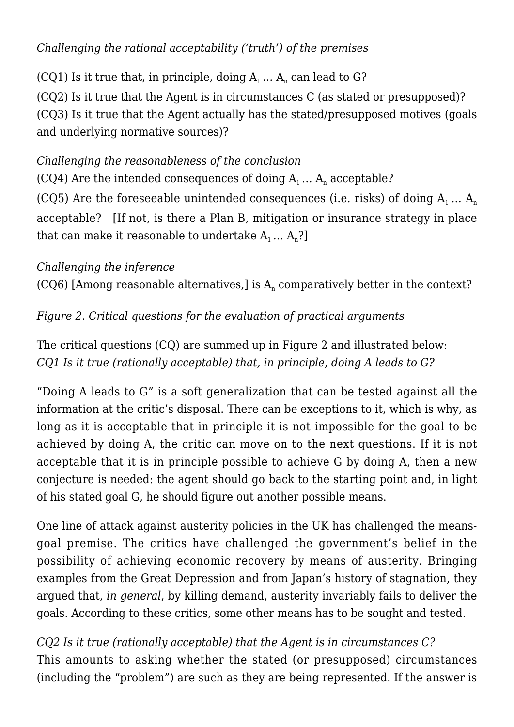## *Challenging the rational acceptability ('truth') of the premises*

(CQ1) Is it true that, in principle, doing  $A_1 \dots A_n$  can lead to G?

(CQ2) Is it true that the Agent is in circumstances C (as stated or presupposed)? (CQ3) Is it true that the Agent actually has the stated/presupposed motives (goals and underlying normative sources)?

### *Challenging the reasonableness of the conclusion*

(CQ4) Are the intended consequences of doing  $A_1 \dots A_n$  acceptable?

(CQ5) Are the foreseeable unintended consequences (i.e. risks) of doing  $A_1 ... A_n$ acceptable? [If not, is there a Plan B, mitigation or insurance strategy in place that can make it reasonable to undertake  $A_1 \ldots A_n$ ?

## *Challenging the inference*

(CQ6) [Among reasonable alternatives,] is  $A<sub>n</sub>$  comparatively better in the context?

## *Figure 2. Critical questions for the evaluation of practical arguments*

The critical questions (CQ) are summed up in Figure 2 and illustrated below: *CQ1 Is it true (rationally acceptable) that, in principle, doing A leads to G?*

"Doing A leads to G" is a soft generalization that can be tested against all the information at the critic's disposal. There can be exceptions to it, which is why, as long as it is acceptable that in principle it is not impossible for the goal to be achieved by doing A, the critic can move on to the next questions. If it is not acceptable that it is in principle possible to achieve G by doing A, then a new conjecture is needed: the agent should go back to the starting point and, in light of his stated goal G, he should figure out another possible means.

One line of attack against austerity policies in the UK has challenged the meansgoal premise. The critics have challenged the government's belief in the possibility of achieving economic recovery by means of austerity. Bringing examples from the Great Depression and from Japan's history of stagnation, they argued that, *in general*, by killing demand, austerity invariably fails to deliver the goals. According to these critics, some other means has to be sought and tested.

*CQ2 Is it true (rationally acceptable) that the Agent is in circumstances C?* This amounts to asking whether the stated (or presupposed) circumstances (including the "problem") are such as they are being represented. If the answer is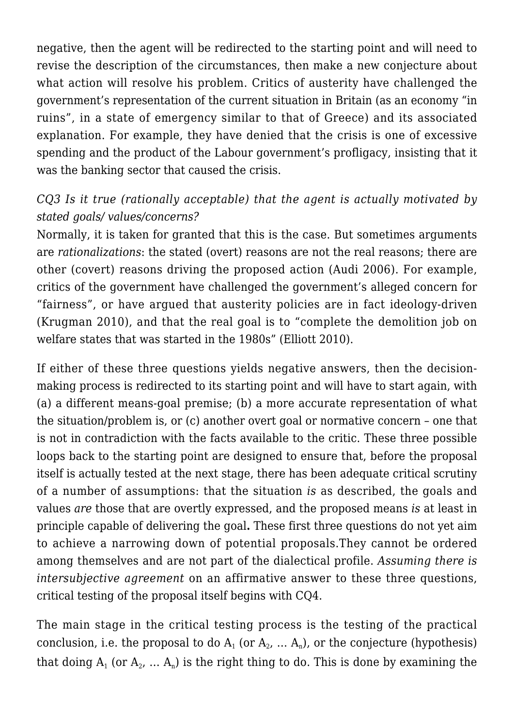negative, then the agent will be redirected to the starting point and will need to revise the description of the circumstances, then make a new conjecture about what action will resolve his problem. Critics of austerity have challenged the government's representation of the current situation in Britain (as an economy "in ruins", in a state of emergency similar to that of Greece) and its associated explanation. For example, they have denied that the crisis is one of excessive spending and the product of the Labour government's profligacy, insisting that it was the banking sector that caused the crisis.

## *CQ3 Is it true (rationally acceptable) that the agent is actually motivated by stated goals/ values/concerns?*

Normally, it is taken for granted that this is the case. But sometimes arguments are *rationalizations*: the stated (overt) reasons are not the real reasons; there are other (covert) reasons driving the proposed action (Audi 2006). For example, critics of the government have challenged the government's alleged concern for "fairness", or have argued that austerity policies are in fact ideology-driven (Krugman 2010), and that the real goal is to "complete the demolition job on welfare states that was started in the 1980s" (Elliott 2010).

If either of these three questions yields negative answers, then the decisionmaking process is redirected to its starting point and will have to start again, with (a) a different means-goal premise; (b) a more accurate representation of what the situation/problem is, or (c) another overt goal or normative concern – one that is not in contradiction with the facts available to the critic. These three possible loops back to the starting point are designed to ensure that, before the proposal itself is actually tested at the next stage, there has been adequate critical scrutiny of a number of assumptions: that the situation *is* as described, the goals and values *are* those that are overtly expressed, and the proposed means *is* at least in principle capable of delivering the goal**.** These first three questions do not yet aim to achieve a narrowing down of potential proposals.They cannot be ordered among themselves and are not part of the dialectical profile. *Assuming there is intersubjective agreement* on an affirmative answer to these three questions, critical testing of the proposal itself begins with CQ4.

The main stage in the critical testing process is the testing of the practical conclusion, i.e. the proposal to do  $\rm A_{1}$  (or  $\rm A_{2}$ ,  $...$   $\rm A_{n}$ ), or the conjecture (hypothesis) that doing  $\rm A_{1}$  (or  $\rm A_{2}$ ,  $...$   $\rm A_{n})$  is the right thing to do. This is done by examining the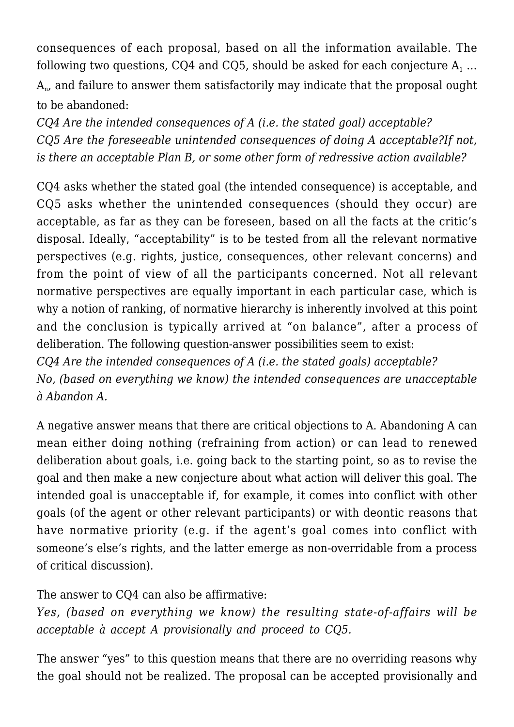consequences of each proposal, based on all the information available. The following two questions, CQ4 and CQ5, should be asked for each conjecture  $\mathsf{A}_1$  ...  ${\rm A}_{\rm n}$ , and failure to answer them satisfactorily may indicate that the proposal ought to be abandoned:

*CQ4 Are the intended consequences of A (i.e. the stated goal) acceptable? CQ5 Are the foreseeable unintended consequences of doing A acceptable?If not, is there an acceptable Plan B, or some other form of redressive action available?*

CQ4 asks whether the stated goal (the intended consequence) is acceptable, and CQ5 asks whether the unintended consequences (should they occur) are acceptable, as far as they can be foreseen, based on all the facts at the critic's disposal. Ideally, "acceptability" is to be tested from all the relevant normative perspectives (e.g. rights, justice, consequences, other relevant concerns) and from the point of view of all the participants concerned. Not all relevant normative perspectives are equally important in each particular case, which is why a notion of ranking, of normative hierarchy is inherently involved at this point and the conclusion is typically arrived at "on balance", after a process of deliberation. The following question-answer possibilities seem to exist: *CQ4 Are the intended consequences of A (i.e. the stated goals) acceptable?*

*No, (based on everything we know) the intended consequences are unacceptable à Abandon A.*

A negative answer means that there are critical objections to A. Abandoning A can mean either doing nothing (refraining from action) or can lead to renewed deliberation about goals, i.e. going back to the starting point, so as to revise the goal and then make a new conjecture about what action will deliver this goal. The intended goal is unacceptable if, for example, it comes into conflict with other goals (of the agent or other relevant participants) or with deontic reasons that have normative priority (e.g. if the agent's goal comes into conflict with someone's else's rights, and the latter emerge as non-overridable from a process of critical discussion).

The answer to CQ4 can also be affirmative:

*Yes, (based on everything we know) the resulting state-of-affairs will be acceptable à accept A provisionally and proceed to CQ5.*

The answer "yes" to this question means that there are no overriding reasons why the goal should not be realized. The proposal can be accepted provisionally and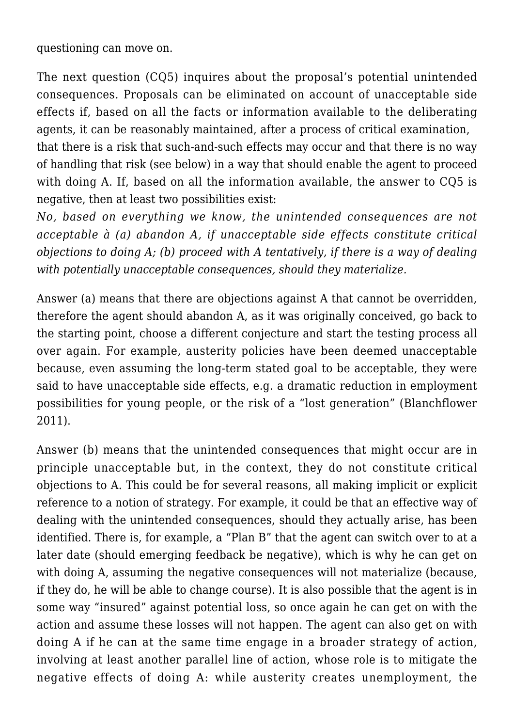questioning can move on.

The next question (CQ5) inquires about the proposal's potential unintended consequences. Proposals can be eliminated on account of unacceptable side effects if, based on all the facts or information available to the deliberating agents, it can be reasonably maintained, after a process of critical examination,

that there is a risk that such-and-such effects may occur and that there is no way of handling that risk (see below) in a way that should enable the agent to proceed with doing A. If, based on all the information available, the answer to CQ5 is negative, then at least two possibilities exist:

*No, based on everything we know, the unintended consequences are not acceptable à (a) abandon A, if unacceptable side effects constitute critical objections to doing A; (b) proceed with A tentatively, if there is a way of dealing with potentially unacceptable consequences, should they materialize.*

Answer (a) means that there are objections against A that cannot be overridden, therefore the agent should abandon A, as it was originally conceived, go back to the starting point, choose a different conjecture and start the testing process all over again. For example, austerity policies have been deemed unacceptable because, even assuming the long-term stated goal to be acceptable, they were said to have unacceptable side effects, e.g. a dramatic reduction in employment possibilities for young people, or the risk of a "lost generation" (Blanchflower 2011).

Answer (b) means that the unintended consequences that might occur are in principle unacceptable but, in the context, they do not constitute critical objections to A. This could be for several reasons, all making implicit or explicit reference to a notion of strategy. For example, it could be that an effective way of dealing with the unintended consequences, should they actually arise, has been identified. There is, for example, a "Plan B" that the agent can switch over to at a later date (should emerging feedback be negative), which is why he can get on with doing A, assuming the negative consequences will not materialize (because, if they do, he will be able to change course). It is also possible that the agent is in some way "insured" against potential loss, so once again he can get on with the action and assume these losses will not happen. The agent can also get on with doing A if he can at the same time engage in a broader strategy of action, involving at least another parallel line of action, whose role is to mitigate the negative effects of doing A: while austerity creates unemployment, the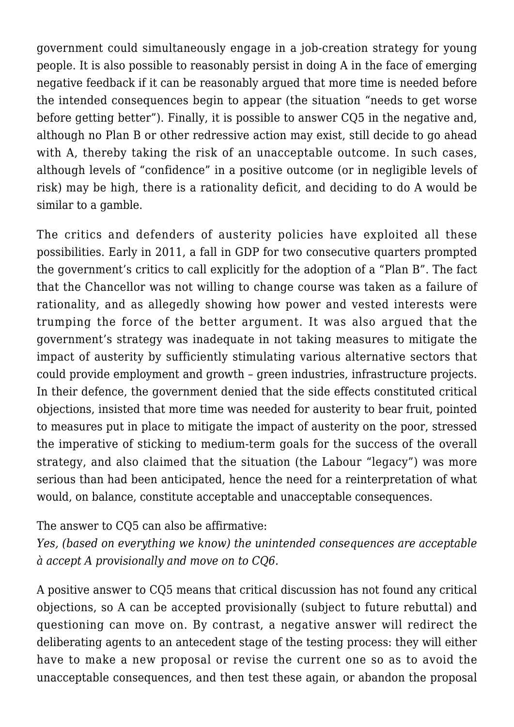government could simultaneously engage in a job-creation strategy for young people. It is also possible to reasonably persist in doing A in the face of emerging negative feedback if it can be reasonably argued that more time is needed before the intended consequences begin to appear (the situation "needs to get worse before getting better"). Finally, it is possible to answer CQ5 in the negative and, although no Plan B or other redressive action may exist, still decide to go ahead with A, thereby taking the risk of an unacceptable outcome. In such cases, although levels of "confidence" in a positive outcome (or in negligible levels of risk) may be high, there is a rationality deficit, and deciding to do A would be similar to a gamble.

The critics and defenders of austerity policies have exploited all these possibilities. Early in 2011, a fall in GDP for two consecutive quarters prompted the government's critics to call explicitly for the adoption of a "Plan B". The fact that the Chancellor was not willing to change course was taken as a failure of rationality, and as allegedly showing how power and vested interests were trumping the force of the better argument. It was also argued that the government's strategy was inadequate in not taking measures to mitigate the impact of austerity by sufficiently stimulating various alternative sectors that could provide employment and growth – green industries, infrastructure projects. In their defence, the government denied that the side effects constituted critical objections, insisted that more time was needed for austerity to bear fruit, pointed to measures put in place to mitigate the impact of austerity on the poor, stressed the imperative of sticking to medium-term goals for the success of the overall strategy, and also claimed that the situation (the Labour "legacy") was more serious than had been anticipated, hence the need for a reinterpretation of what would, on balance, constitute acceptable and unacceptable consequences.

#### The answer to CQ5 can also be affirmative:

*Yes, (based on everything we know) the unintended consequences are acceptable à accept A provisionally and move on to CQ6.*

A positive answer to CQ5 means that critical discussion has not found any critical objections, so A can be accepted provisionally (subject to future rebuttal) and questioning can move on. By contrast, a negative answer will redirect the deliberating agents to an antecedent stage of the testing process: they will either have to make a new proposal or revise the current one so as to avoid the unacceptable consequences, and then test these again, or abandon the proposal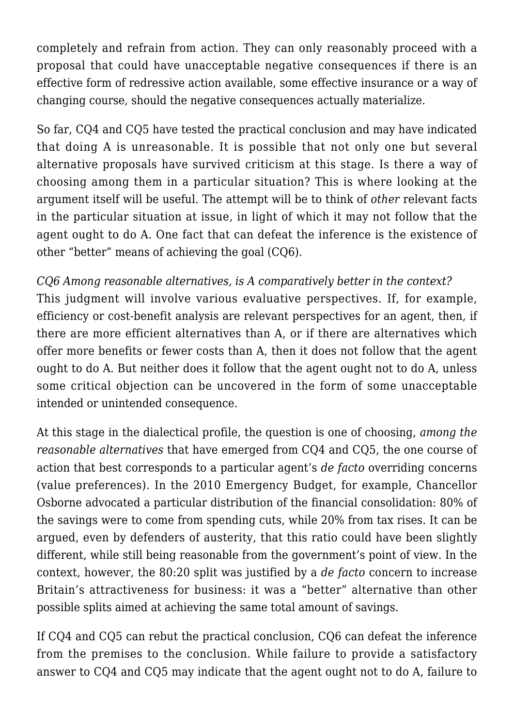completely and refrain from action. They can only reasonably proceed with a proposal that could have unacceptable negative consequences if there is an effective form of redressive action available, some effective insurance or a way of changing course, should the negative consequences actually materialize.

So far, CQ4 and CQ5 have tested the practical conclusion and may have indicated that doing A is unreasonable. It is possible that not only one but several alternative proposals have survived criticism at this stage. Is there a way of choosing among them in a particular situation? This is where looking at the argument itself will be useful. The attempt will be to think of *other* relevant facts in the particular situation at issue, in light of which it may not follow that the agent ought to do A. One fact that can defeat the inference is the existence of other "better" means of achieving the goal (CQ6).

#### *CQ6 Among reasonable alternatives, is A comparatively better in the context?*

This judgment will involve various evaluative perspectives. If, for example, efficiency or cost-benefit analysis are relevant perspectives for an agent, then, if there are more efficient alternatives than A, or if there are alternatives which offer more benefits or fewer costs than A, then it does not follow that the agent ought to do A. But neither does it follow that the agent ought not to do A, unless some critical objection can be uncovered in the form of some unacceptable intended or unintended consequence.

At this stage in the dialectical profile, the question is one of choosing, *among the reasonable alternatives* that have emerged from CQ4 and CQ5, the one course of action that best corresponds to a particular agent's *de facto* overriding concerns (value preferences). In the 2010 Emergency Budget, for example, Chancellor Osborne advocated a particular distribution of the financial consolidation: 80% of the savings were to come from spending cuts, while 20% from tax rises. It can be argued, even by defenders of austerity, that this ratio could have been slightly different, while still being reasonable from the government's point of view. In the context, however, the 80:20 split was justified by a *de facto* concern to increase Britain's attractiveness for business: it was a "better" alternative than other possible splits aimed at achieving the same total amount of savings.

If CQ4 and CQ5 can rebut the practical conclusion, CQ6 can defeat the inference from the premises to the conclusion. While failure to provide a satisfactory answer to CQ4 and CQ5 may indicate that the agent ought not to do A, failure to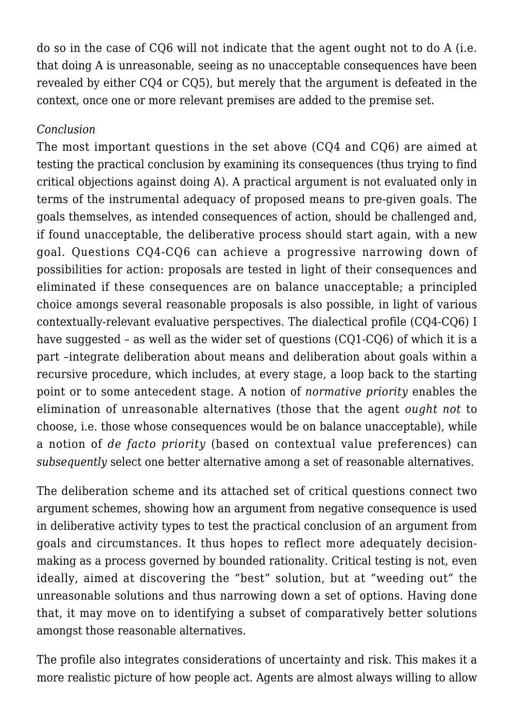do so in the case of CQ6 will not indicate that the agent ought not to do A (i.e. that doing A is unreasonable, seeing as no unacceptable consequences have been revealed by either CQ4 or CQ5), but merely that the argument is defeated in the context, once one or more relevant premises are added to the premise set.

#### *Conclusion*

The most important questions in the set above (CQ4 and CQ6) are aimed at testing the practical conclusion by examining its consequences (thus trying to find critical objections against doing A). A practical argument is not evaluated only in terms of the instrumental adequacy of proposed means to pre-given goals. The goals themselves, as intended consequences of action, should be challenged and, if found unacceptable, the deliberative process should start again, with a new goal. Questions CQ4-CQ6 can achieve a progressive narrowing down of possibilities for action: proposals are tested in light of their consequences and eliminated if these consequences are on balance unacceptable; a principled choice amongs several reasonable proposals is also possible, in light of various contextually-relevant evaluative perspectives. The dialectical profile (CQ4-CQ6) I have suggested – as well as the wider set of questions (CQ1-CQ6) of which it is a part –integrate deliberation about means and deliberation about goals within a recursive procedure, which includes, at every stage, a loop back to the starting point or to some antecedent stage. A notion of *normative priority* enables the elimination of unreasonable alternatives (those that the agent *ought not* to choose, i.e. those whose consequences would be on balance unacceptable), while a notion of *de facto priority* (based on contextual value preferences) can *subsequently* select one better alternative among a set of reasonable alternatives.

The deliberation scheme and its attached set of critical questions connect two argument schemes, showing how an argument from negative consequence is used in deliberative activity types to test the practical conclusion of an argument from goals and circumstances. It thus hopes to reflect more adequately decisionmaking as a process governed by bounded rationality. Critical testing is not, even ideally, aimed at discovering the "best" solution, but at "weeding out" the unreasonable solutions and thus narrowing down a set of options. Having done that, it may move on to identifying a subset of comparatively better solutions amongst those reasonable alternatives.

The profile also integrates considerations of uncertainty and risk. This makes it a more realistic picture of how people act. Agents are almost always willing to allow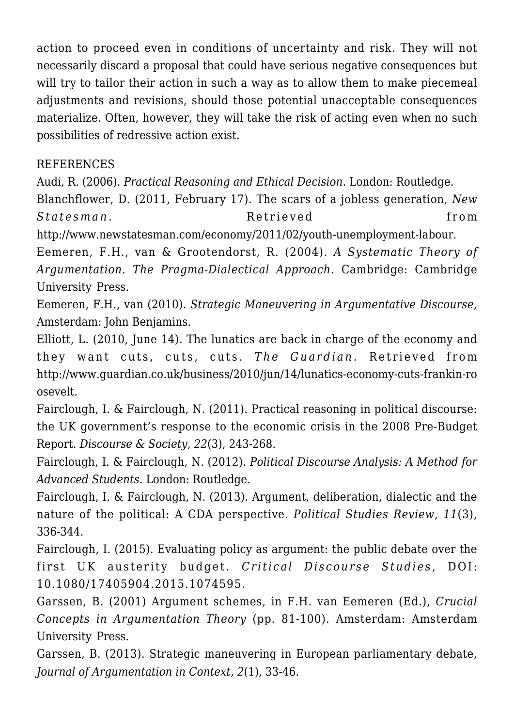action to proceed even in conditions of uncertainty and risk. They will not necessarily discard a proposal that could have serious negative consequences but will try to tailor their action in such a way as to allow them to make piecemeal adjustments and revisions, should those potential unacceptable consequences materialize. Often, however, they will take the risk of acting even when no such possibilities of redressive action exist.

#### REFERENCES

Audi, R. (2006). *Practical Reasoning and Ethical Decision*. London: Routledge.

Blanchflower, D. (2011, February 17). The scars of a jobless generation, *New Statesman*. Retrieved from

http://www.newstatesman.com/economy/2011/02/youth-unemployment-labour. Eemeren, F.H., van & Grootendorst, R. (2004). *A Systematic Theory of*

*Argumentation. The Pragma-Dialectical Approach*. Cambridge: Cambridge University Press.

Eemeren, F.H., van (2010). *Strategic Maneuvering in Argumentative Discourse*, Amsterdam: John Benjamins.

Elliott, L. (2010, June 14). The lunatics are back in charge of the economy and they want cuts, cuts, cuts. *The Guardian.* Retrieved from http://www.guardian.co.uk/business/2010/jun/14/lunatics-economy-cuts-frankin-ro osevelt.

Fairclough, I. & Fairclough, N. (2011). Practical reasoning in political discourse: the UK government's response to the economic crisis in the 2008 Pre-Budget Report. *Discourse & Society*, *22*(3), 243-268.

Fairclough, I. & Fairclough, N. (2012). *Political Discourse Analysis: A Method for Advanced Students*. London: Routledge.

Fairclough, I. & Fairclough, N. (2013). Argument, deliberation, dialectic and the nature of the political: A CDA perspective. *Political Studies Review*, *11*(3), 336-344.

Fairclough, I. (2015). Evaluating policy as argument: the public debate over the first UK austerity budget. *Critical Discourse Studies*, DOI: 10.1080/17405904.2015.1074595.

Garssen, B. (2001) Argument schemes, in F.H. van Eemeren (Ed.), *Crucial Concepts in Argumentation Theory* (pp. 81-100). Amsterdam: Amsterdam University Press.

Garssen, B. (2013). Strategic maneuvering in European parliamentary debate, *Journal of Argumentation in Context, 2*(1), 33-46.